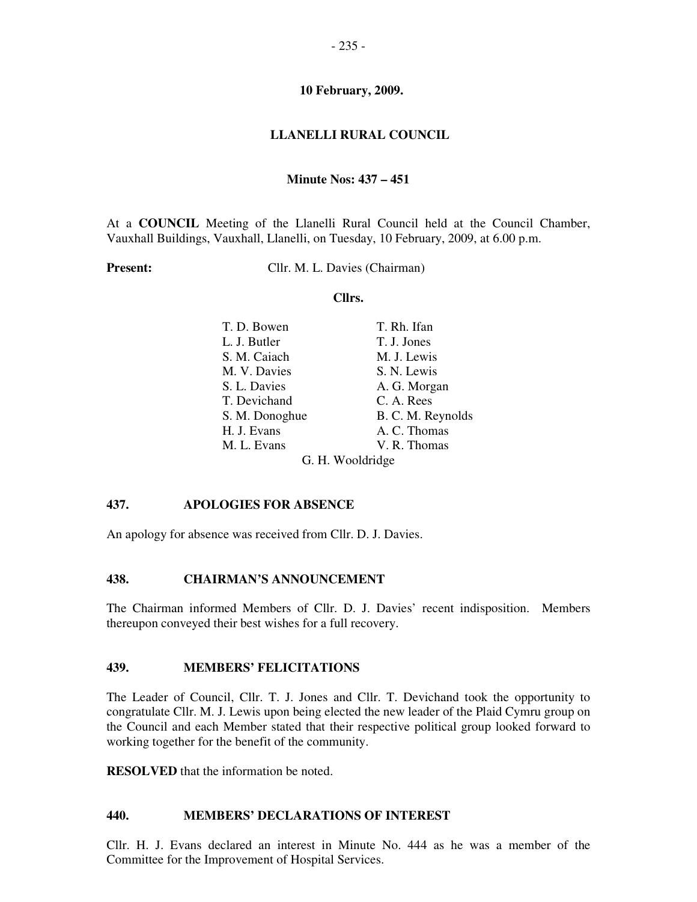### **LLANELLI RURAL COUNCIL**

#### **Minute Nos: 437 – 451**

At a **COUNCIL** Meeting of the Llanelli Rural Council held at the Council Chamber, Vauxhall Buildings, Vauxhall, Llanelli, on Tuesday, 10 February, 2009, at 6.00 p.m.

**Present:** Cllr. M. L. Davies (Chairman)

#### **Cllrs.**

| T. D. Bowen    | T. Rh. Ifan       |  |
|----------------|-------------------|--|
| L. J. Butler   | T. J. Jones       |  |
| S. M. Caiach   | M. J. Lewis       |  |
| M. V. Davies   | S. N. Lewis       |  |
| S. L. Davies   | A. G. Morgan      |  |
| T. Devichand   | C. A. Rees        |  |
| S. M. Donoghue | B. C. M. Reynolds |  |
| H. J. Evans    | A. C. Thomas      |  |
| M. L. Evans    | V. R. Thomas      |  |
|                | G. H. Wooldridge  |  |

### **437. APOLOGIES FOR ABSENCE**

An apology for absence was received from Cllr. D. J. Davies.

#### **438. CHAIRMAN'S ANNOUNCEMENT**

The Chairman informed Members of Cllr. D. J. Davies' recent indisposition. Members thereupon conveyed their best wishes for a full recovery.

#### **439. MEMBERS' FELICITATIONS**

The Leader of Council, Cllr. T. J. Jones and Cllr. T. Devichand took the opportunity to congratulate Cllr. M. J. Lewis upon being elected the new leader of the Plaid Cymru group on the Council and each Member stated that their respective political group looked forward to working together for the benefit of the community.

**RESOLVED** that the information be noted.

#### **440. MEMBERS' DECLARATIONS OF INTEREST**

Cllr. H. J. Evans declared an interest in Minute No. 444 as he was a member of the Committee for the Improvement of Hospital Services.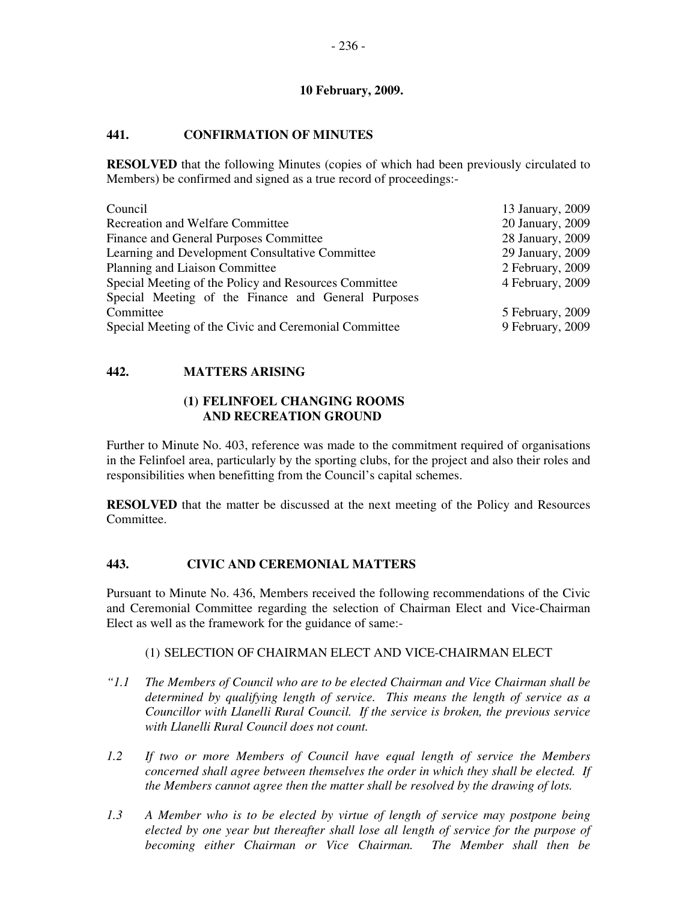## **441. CONFIRMATION OF MINUTES**

**RESOLVED** that the following Minutes (copies of which had been previously circulated to Members) be confirmed and signed as a true record of proceedings:-

| Council                                               | 13 January, 2009 |
|-------------------------------------------------------|------------------|
| <b>Recreation and Welfare Committee</b>               | 20 January, 2009 |
| Finance and General Purposes Committee                | 28 January, 2009 |
| Learning and Development Consultative Committee       | 29 January, 2009 |
| Planning and Liaison Committee                        | 2 February, 2009 |
| Special Meeting of the Policy and Resources Committee | 4 February, 2009 |
| Special Meeting of the Finance and General Purposes   |                  |
| Committee                                             | 5 February, 2009 |
| Special Meeting of the Civic and Ceremonial Committee | 9 February, 2009 |

## **442. MATTERS ARISING**

### **(1) FELINFOEL CHANGING ROOMS AND RECREATION GROUND**

Further to Minute No. 403, reference was made to the commitment required of organisations in the Felinfoel area, particularly by the sporting clubs, for the project and also their roles and responsibilities when benefitting from the Council's capital schemes.

**RESOLVED** that the matter be discussed at the next meeting of the Policy and Resources Committee.

## **443. CIVIC AND CEREMONIAL MATTERS**

Pursuant to Minute No. 436, Members received the following recommendations of the Civic and Ceremonial Committee regarding the selection of Chairman Elect and Vice-Chairman Elect as well as the framework for the guidance of same:-

### (1) SELECTION OF CHAIRMAN ELECT AND VICE-CHAIRMAN ELECT

- *"1.1 The Members of Council who are to be elected Chairman and Vice Chairman shall be determined by qualifying length of service. This means the length of service as a Councillor with Llanelli Rural Council. If the service is broken, the previous service with Llanelli Rural Council does not count.*
- *1.2 If two or more Members of Council have equal length of service the Members concerned shall agree between themselves the order in which they shall be elected. If the Members cannot agree then the matter shall be resolved by the drawing of lots.*
- *1.3 A Member who is to be elected by virtue of length of service may postpone being elected by one year but thereafter shall lose all length of service for the purpose of becoming either Chairman or Vice Chairman. The Member shall then be*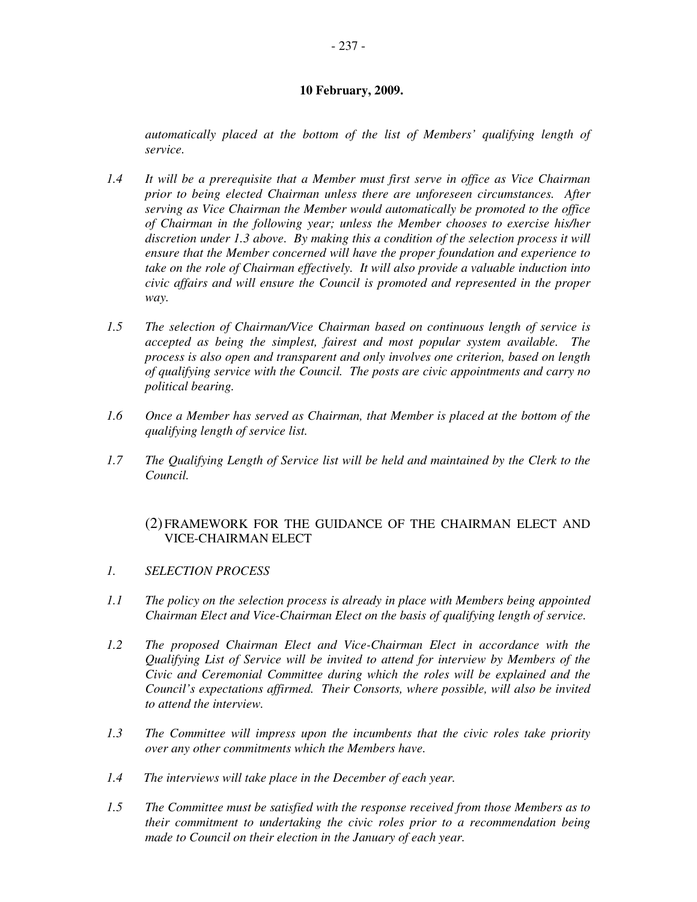*automatically placed at the bottom of the list of Members' qualifying length of service.* 

- *1.4 It will be a prerequisite that a Member must first serve in office as Vice Chairman prior to being elected Chairman unless there are unforeseen circumstances. After serving as Vice Chairman the Member would automatically be promoted to the office of Chairman in the following year; unless the Member chooses to exercise his/her discretion under 1.3 above. By making this a condition of the selection process it will ensure that the Member concerned will have the proper foundation and experience to take on the role of Chairman effectively. It will also provide a valuable induction into civic affairs and will ensure the Council is promoted and represented in the proper way.*
- *1.5 The selection of Chairman/Vice Chairman based on continuous length of service is accepted as being the simplest, fairest and most popular system available. The process is also open and transparent and only involves one criterion, based on length of qualifying service with the Council. The posts are civic appointments and carry no political bearing.*
- *1.6 Once a Member has served as Chairman, that Member is placed at the bottom of the qualifying length of service list.*
- *1.7 The Qualifying Length of Service list will be held and maintained by the Clerk to the Council.*

## (2) FRAMEWORK FOR THE GUIDANCE OF THE CHAIRMAN ELECT AND VICE-CHAIRMAN ELECT

- *1. SELECTION PROCESS*
- *1.1 The policy on the selection process is already in place with Members being appointed Chairman Elect and Vice-Chairman Elect on the basis of qualifying length of service.*
- *1.2 The proposed Chairman Elect and Vice-Chairman Elect in accordance with the Qualifying List of Service will be invited to attend for interview by Members of the Civic and Ceremonial Committee during which the roles will be explained and the Council's expectations affirmed. Their Consorts, where possible, will also be invited to attend the interview.*
- *1.3 The Committee will impress upon the incumbents that the civic roles take priority over any other commitments which the Members have.*
- *1.4 The interviews will take place in the December of each year.*
- *1.5 The Committee must be satisfied with the response received from those Members as to their commitment to undertaking the civic roles prior to a recommendation being made to Council on their election in the January of each year.*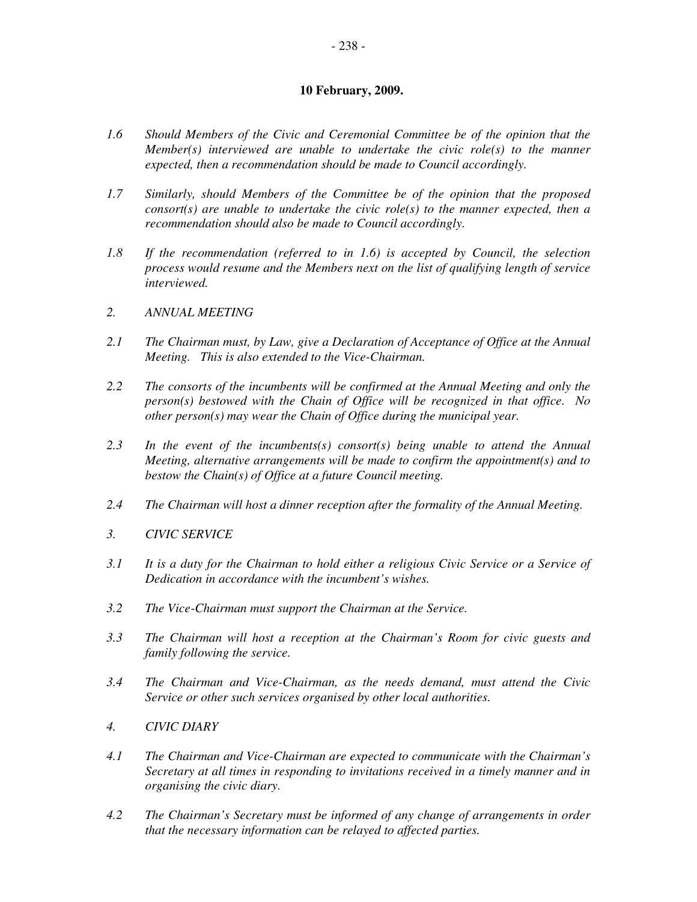- *1.6 Should Members of the Civic and Ceremonial Committee be of the opinion that the Member(s) interviewed are unable to undertake the civic role(s) to the manner expected, then a recommendation should be made to Council accordingly.*
- *1.7 Similarly, should Members of the Committee be of the opinion that the proposed consort(s) are unable to undertake the civic role(s) to the manner expected, then a recommendation should also be made to Council accordingly.*
- *1.8 If the recommendation (referred to in 1.6) is accepted by Council, the selection process would resume and the Members next on the list of qualifying length of service interviewed.*
- *2. ANNUAL MEETING*
- *2.1 The Chairman must, by Law, give a Declaration of Acceptance of Office at the Annual Meeting. This is also extended to the Vice-Chairman.*
- *2.2 The consorts of the incumbents will be confirmed at the Annual Meeting and only the person(s) bestowed with the Chain of Office will be recognized in that office. No other person(s) may wear the Chain of Office during the municipal year.*
- *2.3 In the event of the incumbents(s) consort(s) being unable to attend the Annual Meeting, alternative arrangements will be made to confirm the appointment(s) and to bestow the Chain(s) of Office at a future Council meeting.*
- *2.4 The Chairman will host a dinner reception after the formality of the Annual Meeting.*
- *3. CIVIC SERVICE*
- *3.1 It is a duty for the Chairman to hold either a religious Civic Service or a Service of Dedication in accordance with the incumbent's wishes.*
- *3.2 The Vice-Chairman must support the Chairman at the Service.*
- *3.3 The Chairman will host a reception at the Chairman's Room for civic guests and family following the service.*
- *3.4 The Chairman and Vice-Chairman, as the needs demand, must attend the Civic Service or other such services organised by other local authorities.*
- *4. CIVIC DIARY*
- *4.1 The Chairman and Vice-Chairman are expected to communicate with the Chairman's Secretary at all times in responding to invitations received in a timely manner and in organising the civic diary.*
- *4.2 The Chairman's Secretary must be informed of any change of arrangements in order that the necessary information can be relayed to affected parties.*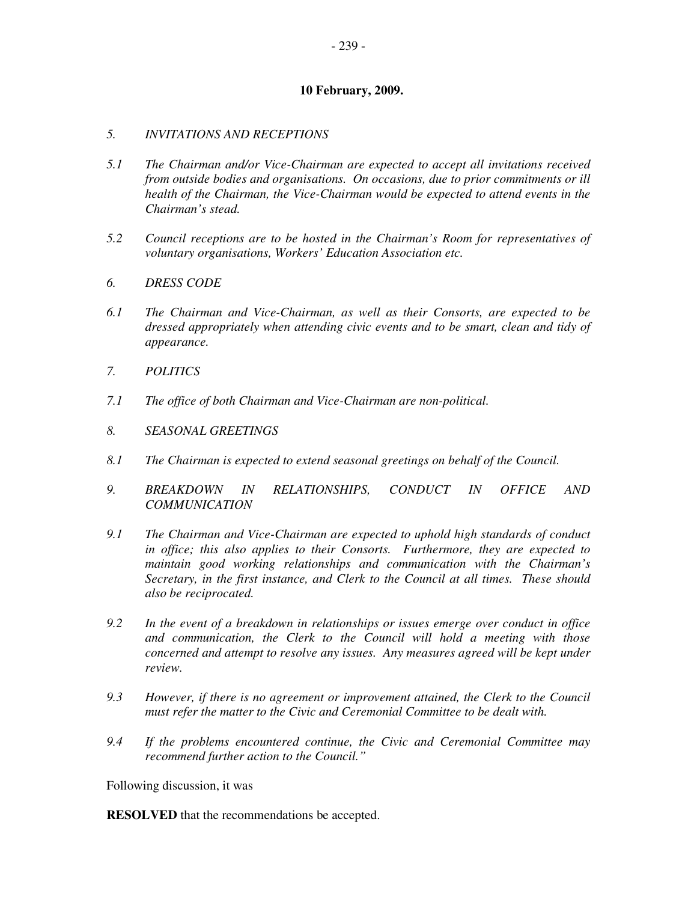## *5. INVITATIONS AND RECEPTIONS*

- *5.1 The Chairman and/or Vice-Chairman are expected to accept all invitations received from outside bodies and organisations. On occasions, due to prior commitments or ill health of the Chairman, the Vice-Chairman would be expected to attend events in the Chairman's stead.*
- *5.2 Council receptions are to be hosted in the Chairman's Room for representatives of voluntary organisations, Workers' Education Association etc.*
- *6. DRESS CODE*
- *6.1 The Chairman and Vice-Chairman, as well as their Consorts, are expected to be dressed appropriately when attending civic events and to be smart, clean and tidy of appearance.*
- *7. POLITICS*
- *7.1 The office of both Chairman and Vice-Chairman are non-political.*
- *8. SEASONAL GREETINGS*
- *8.1 The Chairman is expected to extend seasonal greetings on behalf of the Council.*
- *9. BREAKDOWN IN RELATIONSHIPS, CONDUCT IN OFFICE AND COMMUNICATION*
- *9.1 The Chairman and Vice-Chairman are expected to uphold high standards of conduct in office; this also applies to their Consorts. Furthermore, they are expected to maintain good working relationships and communication with the Chairman's Secretary, in the first instance, and Clerk to the Council at all times. These should also be reciprocated.*
- *9.2 In the event of a breakdown in relationships or issues emerge over conduct in office and communication, the Clerk to the Council will hold a meeting with those concerned and attempt to resolve any issues. Any measures agreed will be kept under review.*
- *9.3 However, if there is no agreement or improvement attained, the Clerk to the Council must refer the matter to the Civic and Ceremonial Committee to be dealt with.*
- *9.4 If the problems encountered continue, the Civic and Ceremonial Committee may recommend further action to the Council."*

Following discussion, it was

**RESOLVED** that the recommendations be accepted.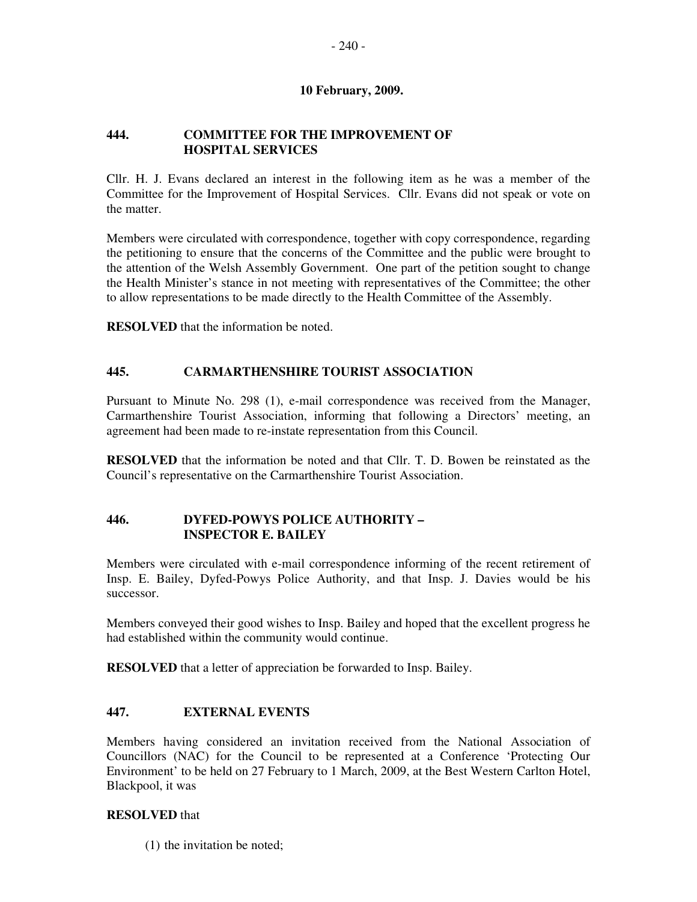## **444. COMMITTEE FOR THE IMPROVEMENT OF HOSPITAL SERVICES**

Cllr. H. J. Evans declared an interest in the following item as he was a member of the Committee for the Improvement of Hospital Services. Cllr. Evans did not speak or vote on the matter.

Members were circulated with correspondence, together with copy correspondence, regarding the petitioning to ensure that the concerns of the Committee and the public were brought to the attention of the Welsh Assembly Government. One part of the petition sought to change the Health Minister's stance in not meeting with representatives of the Committee; the other to allow representations to be made directly to the Health Committee of the Assembly.

**RESOLVED** that the information be noted.

## **445. CARMARTHENSHIRE TOURIST ASSOCIATION**

Pursuant to Minute No. 298 (1), e-mail correspondence was received from the Manager, Carmarthenshire Tourist Association, informing that following a Directors' meeting, an agreement had been made to re-instate representation from this Council.

**RESOLVED** that the information be noted and that Cllr. T. D. Bowen be reinstated as the Council's representative on the Carmarthenshire Tourist Association.

## **446. DYFED-POWYS POLICE AUTHORITY – INSPECTOR E. BAILEY**

Members were circulated with e-mail correspondence informing of the recent retirement of Insp. E. Bailey, Dyfed-Powys Police Authority, and that Insp. J. Davies would be his successor.

Members conveyed their good wishes to Insp. Bailey and hoped that the excellent progress he had established within the community would continue.

**RESOLVED** that a letter of appreciation be forwarded to Insp. Bailey.

### **447. EXTERNAL EVENTS**

Members having considered an invitation received from the National Association of Councillors (NAC) for the Council to be represented at a Conference 'Protecting Our Environment' to be held on 27 February to 1 March, 2009, at the Best Western Carlton Hotel, Blackpool, it was

### **RESOLVED** that

(1) the invitation be noted;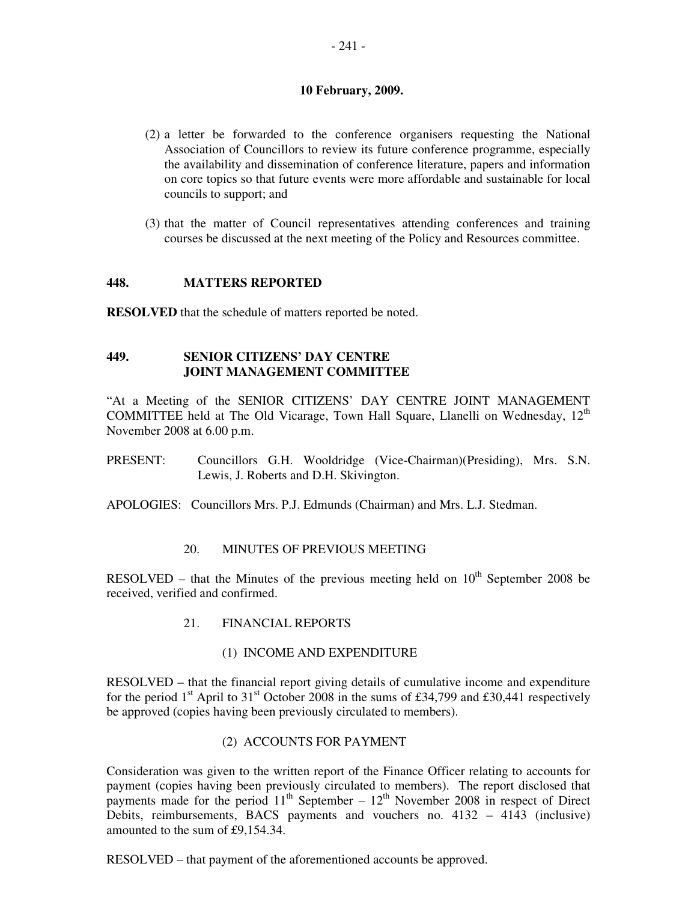- (2) a letter be forwarded to the conference organisers requesting the National Association of Councillors to review its future conference programme, especially the availability and dissemination of conference literature, papers and information on core topics so that future events were more affordable and sustainable for local councils to support; and
- (3) that the matter of Council representatives attending conferences and training courses be discussed at the next meeting of the Policy and Resources committee.

### **448. MATTERS REPORTED**

**RESOLVED** that the schedule of matters reported be noted.

## **449. SENIOR CITIZENS' DAY CENTRE JOINT MANAGEMENT COMMITTEE**

"At a Meeting of the SENIOR CITIZENS' DAY CENTRE JOINT MANAGEMENT COMMITTEE held at The Old Vicarage, Town Hall Square, Llanelli on Wednesday,  $12<sup>th</sup>$ November 2008 at 6.00 p.m.

- PRESENT: Councillors G.H. Wooldridge (Vice-Chairman)(Presiding), Mrs. S.N. Lewis, J. Roberts and D.H. Skivington.
- APOLOGIES: Councillors Mrs. P.J. Edmunds (Chairman) and Mrs. L.J. Stedman.

### 20. MINUTES OF PREVIOUS MEETING

RESOLVED – that the Minutes of the previous meeting held on  $10<sup>th</sup>$  September 2008 be received, verified and confirmed.

21. FINANCIAL REPORTS

### (1) INCOME AND EXPENDITURE

RESOLVED – that the financial report giving details of cumulative income and expenditure for the period  $1<sup>st</sup>$  April to  $31<sup>st</sup>$  October 2008 in the sums of £34,799 and £30,441 respectively be approved (copies having been previously circulated to members).

## (2) ACCOUNTS FOR PAYMENT

Consideration was given to the written report of the Finance Officer relating to accounts for payment (copies having been previously circulated to members). The report disclosed that payments made for the period  $11<sup>th</sup>$  September –  $12<sup>th</sup>$  November 2008 in respect of Direct Debits, reimbursements, BACS payments and vouchers no. 4132 – 4143 (inclusive) amounted to the sum of £9,154.34.

RESOLVED – that payment of the aforementioned accounts be approved.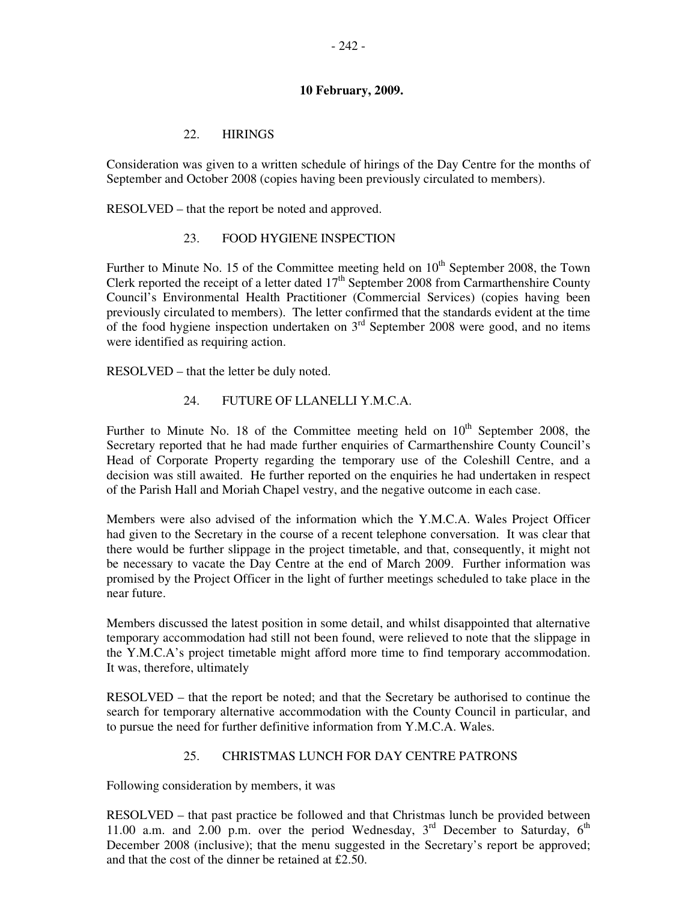## 22. HIRINGS

Consideration was given to a written schedule of hirings of the Day Centre for the months of September and October 2008 (copies having been previously circulated to members).

RESOLVED – that the report be noted and approved.

## 23. FOOD HYGIENE INSPECTION

Further to Minute No. 15 of the Committee meeting held on  $10<sup>th</sup>$  September 2008, the Town Clerk reported the receipt of a letter dated  $17<sup>th</sup>$  September 2008 from Carmarthenshire County Council's Environmental Health Practitioner (Commercial Services) (copies having been previously circulated to members). The letter confirmed that the standards evident at the time of the food hygiene inspection undertaken on  $3<sup>rd</sup>$  September 2008 were good, and no items were identified as requiring action.

RESOLVED – that the letter be duly noted.

### 24. FUTURE OF LLANELLI Y.M.C.A.

Further to Minute No. 18 of the Committee meeting held on  $10<sup>th</sup>$  September 2008, the Secretary reported that he had made further enquiries of Carmarthenshire County Council's Head of Corporate Property regarding the temporary use of the Coleshill Centre, and a decision was still awaited. He further reported on the enquiries he had undertaken in respect of the Parish Hall and Moriah Chapel vestry, and the negative outcome in each case.

Members were also advised of the information which the Y.M.C.A. Wales Project Officer had given to the Secretary in the course of a recent telephone conversation. It was clear that there would be further slippage in the project timetable, and that, consequently, it might not be necessary to vacate the Day Centre at the end of March 2009. Further information was promised by the Project Officer in the light of further meetings scheduled to take place in the near future.

Members discussed the latest position in some detail, and whilst disappointed that alternative temporary accommodation had still not been found, were relieved to note that the slippage in the Y.M.C.A's project timetable might afford more time to find temporary accommodation. It was, therefore, ultimately

RESOLVED – that the report be noted; and that the Secretary be authorised to continue the search for temporary alternative accommodation with the County Council in particular, and to pursue the need for further definitive information from Y.M.C.A. Wales.

### 25. CHRISTMAS LUNCH FOR DAY CENTRE PATRONS

Following consideration by members, it was

RESOLVED – that past practice be followed and that Christmas lunch be provided between 11.00 a.m. and 2.00 p.m. over the period Wednesday,  $3<sup>rd</sup>$  December to Saturday,  $6<sup>th</sup>$ December 2008 (inclusive); that the menu suggested in the Secretary's report be approved; and that the cost of the dinner be retained at £2.50.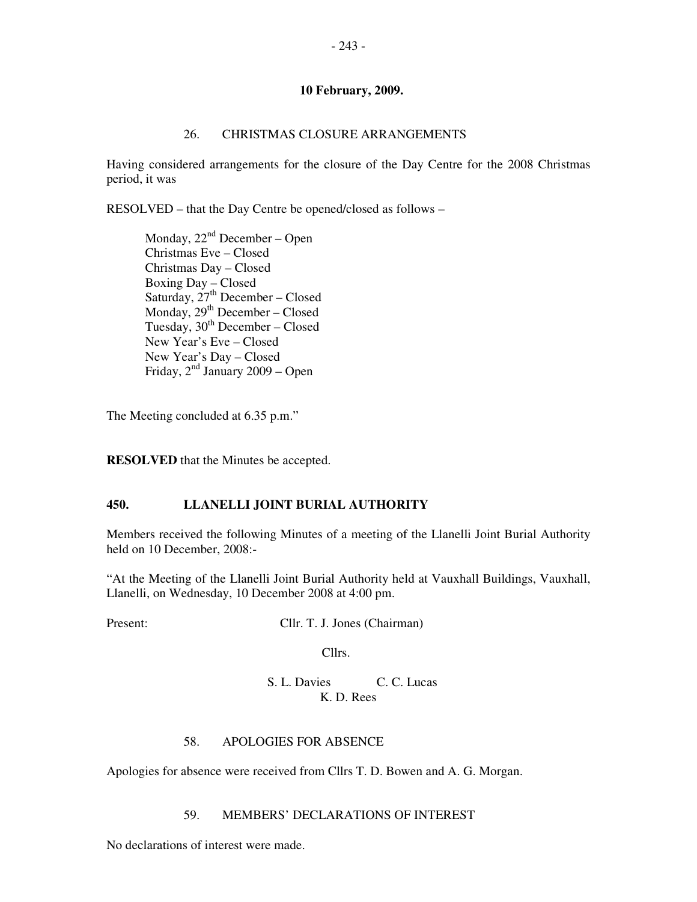### 26. CHRISTMAS CLOSURE ARRANGEMENTS

Having considered arrangements for the closure of the Day Centre for the 2008 Christmas period, it was

RESOLVED – that the Day Centre be opened/closed as follows –

Monday,  $22<sup>nd</sup>$  December – Open Christmas Eve – Closed Christmas Day – Closed Boxing Day – Closed Saturday,  $27<sup>th</sup>$  December – Closed Monday,  $29<sup>th</sup>$  December – Closed Tuesday,  $30<sup>th</sup>$  December – Closed New Year's Eve – Closed New Year's Day – Closed Friday,  $2<sup>nd</sup>$  January 2009 – Open

The Meeting concluded at 6.35 p.m."

**RESOLVED** that the Minutes be accepted.

### **450. LLANELLI JOINT BURIAL AUTHORITY**

Members received the following Minutes of a meeting of the Llanelli Joint Burial Authority held on 10 December, 2008:-

"At the Meeting of the Llanelli Joint Burial Authority held at Vauxhall Buildings, Vauxhall, Llanelli, on Wednesday, 10 December 2008 at 4:00 pm.

Present: Cllr. T. J. Jones (Chairman)

Cllrs.

S. L. Davies C. C. Lucas K. D. Rees

## 58. APOLOGIES FOR ABSENCE

Apologies for absence were received from Cllrs T. D. Bowen and A. G. Morgan.

### 59. MEMBERS' DECLARATIONS OF INTEREST

No declarations of interest were made.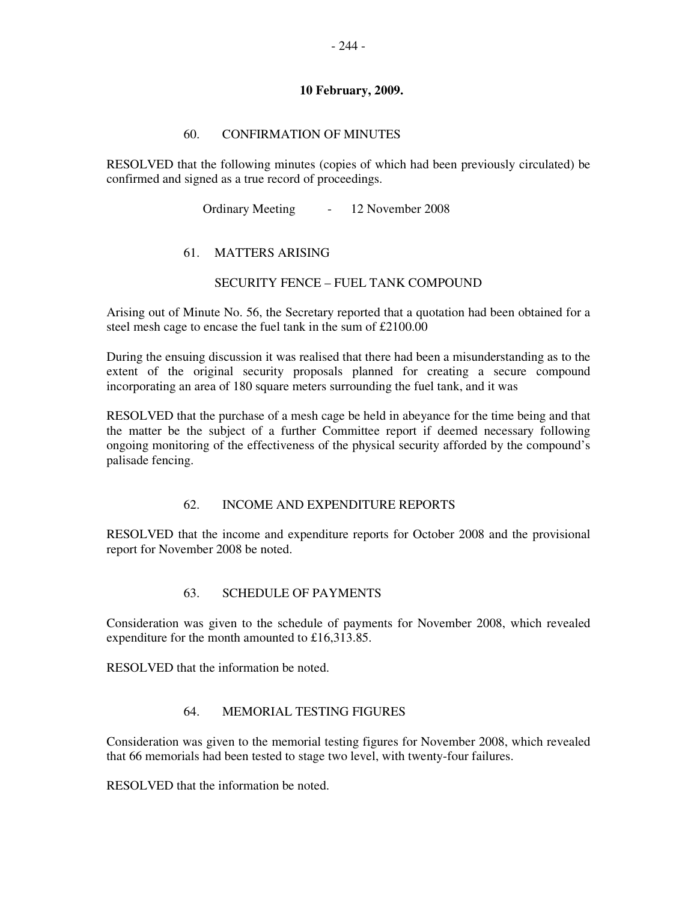## 60. CONFIRMATION OF MINUTES

RESOLVED that the following minutes (copies of which had been previously circulated) be confirmed and signed as a true record of proceedings.

Ordinary Meeting - 12 November 2008

## 61. MATTERS ARISING

### SECURITY FENCE – FUEL TANK COMPOUND

Arising out of Minute No. 56, the Secretary reported that a quotation had been obtained for a steel mesh cage to encase the fuel tank in the sum of £2100.00

During the ensuing discussion it was realised that there had been a misunderstanding as to the extent of the original security proposals planned for creating a secure compound incorporating an area of 180 square meters surrounding the fuel tank, and it was

RESOLVED that the purchase of a mesh cage be held in abeyance for the time being and that the matter be the subject of a further Committee report if deemed necessary following ongoing monitoring of the effectiveness of the physical security afforded by the compound's palisade fencing.

### 62. INCOME AND EXPENDITURE REPORTS

RESOLVED that the income and expenditure reports for October 2008 and the provisional report for November 2008 be noted.

### 63. SCHEDULE OF PAYMENTS

Consideration was given to the schedule of payments for November 2008, which revealed expenditure for the month amounted to £16,313.85.

RESOLVED that the information be noted.

### 64. MEMORIAL TESTING FIGURES

Consideration was given to the memorial testing figures for November 2008, which revealed that 66 memorials had been tested to stage two level, with twenty-four failures.

RESOLVED that the information be noted.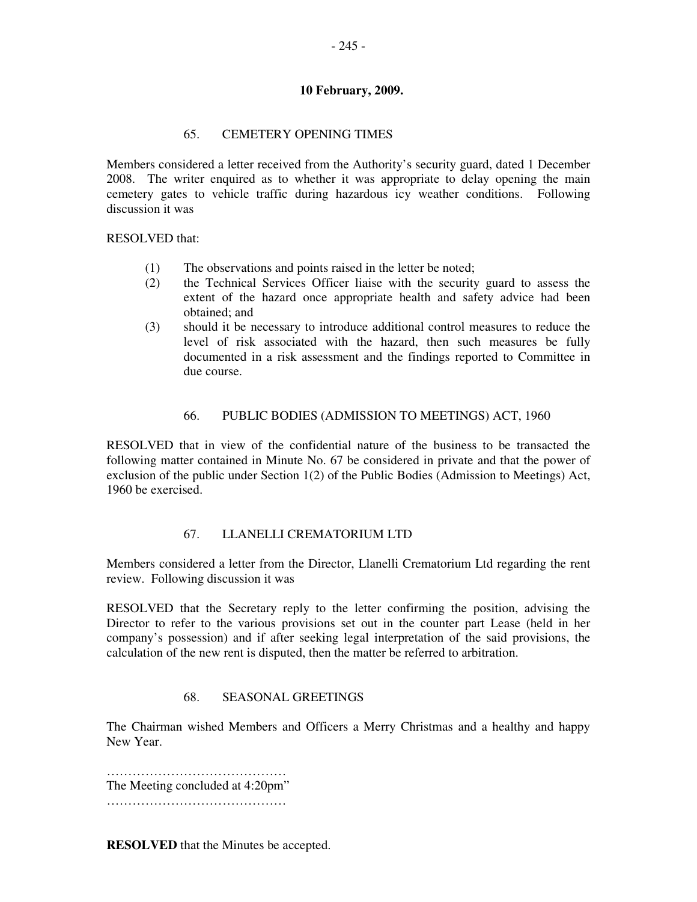## 65. CEMETERY OPENING TIMES

Members considered a letter received from the Authority's security guard, dated 1 December 2008. The writer enquired as to whether it was appropriate to delay opening the main cemetery gates to vehicle traffic during hazardous icy weather conditions. Following discussion it was

RESOLVED that:

- (1) The observations and points raised in the letter be noted;
- (2) the Technical Services Officer liaise with the security guard to assess the extent of the hazard once appropriate health and safety advice had been obtained; and
- (3) should it be necessary to introduce additional control measures to reduce the level of risk associated with the hazard, then such measures be fully documented in a risk assessment and the findings reported to Committee in due course.

### 66. PUBLIC BODIES (ADMISSION TO MEETINGS) ACT, 1960

RESOLVED that in view of the confidential nature of the business to be transacted the following matter contained in Minute No. 67 be considered in private and that the power of exclusion of the public under Section 1(2) of the Public Bodies (Admission to Meetings) Act, 1960 be exercised.

## 67. LLANELLI CREMATORIUM LTD

Members considered a letter from the Director, Llanelli Crematorium Ltd regarding the rent review. Following discussion it was

RESOLVED that the Secretary reply to the letter confirming the position, advising the Director to refer to the various provisions set out in the counter part Lease (held in her company's possession) and if after seeking legal interpretation of the said provisions, the calculation of the new rent is disputed, then the matter be referred to arbitration.

### 68. SEASONAL GREETINGS

The Chairman wished Members and Officers a Merry Christmas and a healthy and happy New Year.

…………………………………………………… The Meeting concluded at 4:20pm" ……………………………………

**RESOLVED** that the Minutes be accepted.